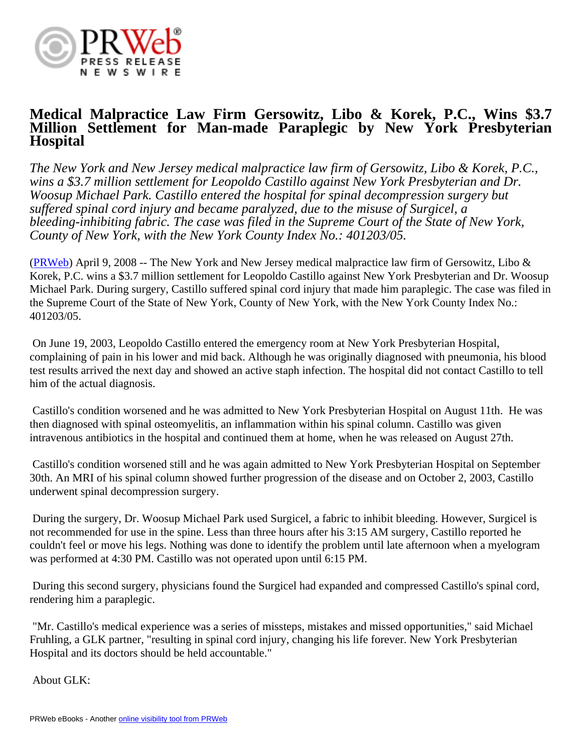

## **Medical Malpractice Law Firm Gersowitz, Libo & Korek, P.C., Wins \$3.7 Million Settlement for Man-made Paraplegic by New York Presbyterian Hospital**

*The New York and New Jersey medical malpractice law firm of Gersowitz, Libo & Korek, P.C., wins a \$3.7 million settlement for Leopoldo Castillo against New York Presbyterian and Dr. Woosup Michael Park. Castillo entered the hospital for spinal decompression surgery but suffered spinal cord injury and became paralyzed, due to the misuse of Surgicel, a bleeding-inhibiting fabric. The case was filed in the Supreme Court of the State of New York, County of New York, with the New York County Index No.: 401203/05.*

[\(PRWeb\)](http://www.prweb.com) April 9, 2008 -- The New York and New Jersey medical malpractice law firm of Gersowitz, Libo & Korek, P.C. wins a \$3.7 million settlement for Leopoldo Castillo against New York Presbyterian and Dr. Woosup Michael Park. During surgery, Castillo suffered spinal cord injury that made him paraplegic. The case was filed in the Supreme Court of the State of New York, County of New York, with the New York County Index No.: 401203/05.

 On June 19, 2003, Leopoldo Castillo entered the emergency room at New York Presbyterian Hospital, complaining of pain in his lower and mid back. Although he was originally diagnosed with pneumonia, his blood test results arrived the next day and showed an active staph infection. The hospital did not contact Castillo to tell him of the actual diagnosis.

 Castillo's condition worsened and he was admitted to New York Presbyterian Hospital on August 11th. He was then diagnosed with spinal osteomyelitis, an inflammation within his spinal column. Castillo was given intravenous antibiotics in the hospital and continued them at home, when he was released on August 27th.

 Castillo's condition worsened still and he was again admitted to New York Presbyterian Hospital on September 30th. An MRI of his spinal column showed further progression of the disease and on October 2, 2003, Castillo underwent spinal decompression surgery.

 During the surgery, Dr. Woosup Michael Park used Surgicel, a fabric to inhibit bleeding. However, Surgicel is not recommended for use in the spine. Less than three hours after his 3:15 AM surgery, Castillo reported he couldn't feel or move his legs. Nothing was done to identify the problem until late afternoon when a myelogram was performed at 4:30 PM. Castillo was not operated upon until 6:15 PM.

 During this second surgery, physicians found the Surgicel had expanded and compressed Castillo's spinal cord, rendering him a paraplegic.

 "Mr. Castillo's medical experience was a series of missteps, mistakes and missed opportunities," said Michael Fruhling, a GLK partner, "resulting in spinal cord injury, changing his life forever. New York Presbyterian Hospital and its doctors should be held accountable."

About GLK: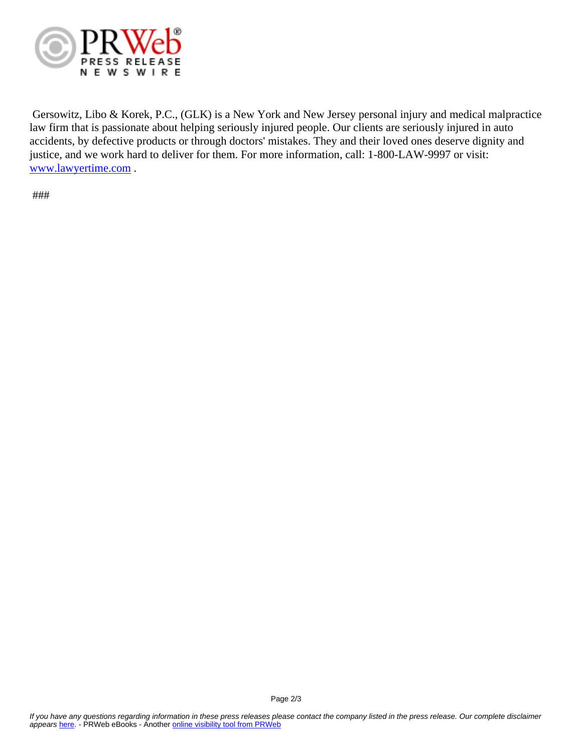

 Gersowitz, Libo & Korek, P.C., (GLK) is a New York and New Jersey personal injury and medical malpractice law firm that is passionate about helping seriously injured people. Our clients are seriously injured in auto accidents, by defective products or through doctors' mistakes. They and their loved ones deserve dignity and justice, and we work hard to deliver for them. For more information, call: 1-800-LAW-9997 or visit: [www.lawyertime.com](http://www.lawyertime.com) .

###